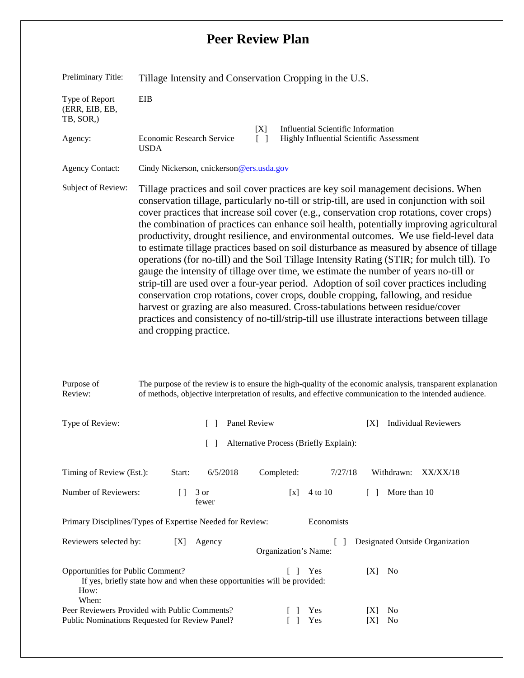## **Peer Review Plan**

| Preliminary Title:                                 | Tillage Intensity and Conservation Cropping in the U.S.                                                                                                                                                                                                                                                                                                                                                                                                                                                                                                                                                                                                                                                                                                                                                                                                                                                                                                                                                                                                                                                                                         |
|----------------------------------------------------|-------------------------------------------------------------------------------------------------------------------------------------------------------------------------------------------------------------------------------------------------------------------------------------------------------------------------------------------------------------------------------------------------------------------------------------------------------------------------------------------------------------------------------------------------------------------------------------------------------------------------------------------------------------------------------------------------------------------------------------------------------------------------------------------------------------------------------------------------------------------------------------------------------------------------------------------------------------------------------------------------------------------------------------------------------------------------------------------------------------------------------------------------|
| Type of Report<br>(ERR, EIB, EB,<br>TB, SOR,)      | <b>EIB</b>                                                                                                                                                                                                                                                                                                                                                                                                                                                                                                                                                                                                                                                                                                                                                                                                                                                                                                                                                                                                                                                                                                                                      |
| Agency:                                            | <b>Influential Scientific Information</b><br>[X]<br>Economic Research Service<br>$\lceil \rceil$<br>Highly Influential Scientific Assessment<br><b>USDA</b>                                                                                                                                                                                                                                                                                                                                                                                                                                                                                                                                                                                                                                                                                                                                                                                                                                                                                                                                                                                     |
| <b>Agency Contact:</b>                             | Cindy Nickerson, cnickerson@ers.usda.gov                                                                                                                                                                                                                                                                                                                                                                                                                                                                                                                                                                                                                                                                                                                                                                                                                                                                                                                                                                                                                                                                                                        |
| Subject of Review:                                 | Tillage practices and soil cover practices are key soil management decisions. When<br>conservation tillage, particularly no-till or strip-till, are used in conjunction with soil<br>cover practices that increase soil cover (e.g., conservation crop rotations, cover crops)<br>the combination of practices can enhance soil health, potentially improving agricultural<br>productivity, drought resilience, and environmental outcomes. We use field-level data<br>to estimate tillage practices based on soil disturbance as measured by absence of tillage<br>operations (for no-till) and the Soil Tillage Intensity Rating (STIR; for mulch till). To<br>gauge the intensity of tillage over time, we estimate the number of years no-till or<br>strip-till are used over a four-year period. Adoption of soil cover practices including<br>conservation crop rotations, cover crops, double cropping, fallowing, and residue<br>harvest or grazing are also measured. Cross-tabulations between residue/cover<br>practices and consistency of no-till/strip-till use illustrate interactions between tillage<br>and cropping practice. |
| Purpose of<br>Review:                              | The purpose of the review is to ensure the high-quality of the economic analysis, transparent explanation<br>of methods, objective interpretation of results, and effective communication to the intended audience.                                                                                                                                                                                                                                                                                                                                                                                                                                                                                                                                                                                                                                                                                                                                                                                                                                                                                                                             |
| Type of Review:                                    | Panel Review<br><b>Individual Reviewers</b><br>[X]                                                                                                                                                                                                                                                                                                                                                                                                                                                                                                                                                                                                                                                                                                                                                                                                                                                                                                                                                                                                                                                                                              |
|                                                    | Alternative Process (Briefly Explain):                                                                                                                                                                                                                                                                                                                                                                                                                                                                                                                                                                                                                                                                                                                                                                                                                                                                                                                                                                                                                                                                                                          |
| Timing of Review (Est.):                           | Completed:<br>Start:<br>6/5/2018<br>7/27/18<br>Withdrawn:<br>XX/XX/18                                                                                                                                                                                                                                                                                                                                                                                                                                                                                                                                                                                                                                                                                                                                                                                                                                                                                                                                                                                                                                                                           |
| Number of Reviewers:                               | $\left[ \ \right]$<br>4 to 10<br>More than 10<br>3 or<br>[x]<br>$\perp$<br>fewer                                                                                                                                                                                                                                                                                                                                                                                                                                                                                                                                                                                                                                                                                                                                                                                                                                                                                                                                                                                                                                                                |
|                                                    | Economists<br>Primary Disciplines/Types of Expertise Needed for Review:                                                                                                                                                                                                                                                                                                                                                                                                                                                                                                                                                                                                                                                                                                                                                                                                                                                                                                                                                                                                                                                                         |
| Reviewers selected by:                             | Designated Outside Organization<br>Agency<br>[X]<br>Organization's Name:                                                                                                                                                                                                                                                                                                                                                                                                                                                                                                                                                                                                                                                                                                                                                                                                                                                                                                                                                                                                                                                                        |
| Opportunities for Public Comment?<br>How:<br>When: | $\begin{bmatrix} 1 \end{bmatrix}$<br>Yes<br>[X]<br>No<br>If yes, briefly state how and when these opportunities will be provided:                                                                                                                                                                                                                                                                                                                                                                                                                                                                                                                                                                                                                                                                                                                                                                                                                                                                                                                                                                                                               |
|                                                    | Peer Reviewers Provided with Public Comments?<br>No<br>Yes<br>[X]<br>Public Nominations Requested for Review Panel?<br>Yes<br>[X]<br>No                                                                                                                                                                                                                                                                                                                                                                                                                                                                                                                                                                                                                                                                                                                                                                                                                                                                                                                                                                                                         |